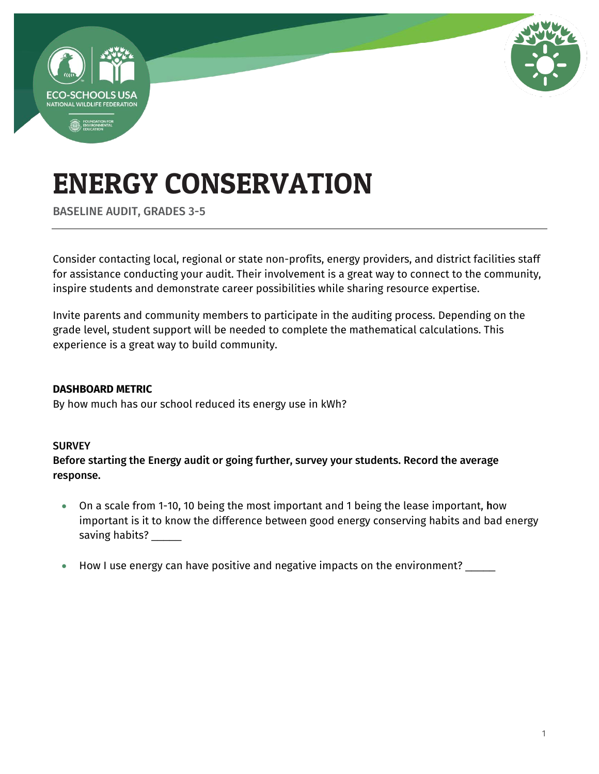

BASELINE AUDIT, GRADES 3-5

Consider contacting local, regional or state non-profits, energy providers, and district facilities staff for assistance conducting your audit. Their involvement is a great way to connect to the community, inspire students and demonstrate career possibilities while sharing resource expertise.

Invite parents and community members to participate in the auditing process. Depending on the grade level, student support will be needed to complete the mathematical calculations. This experience is a great way to build community.

#### **DASHBOARD METRIC**

By how much has our school reduced its energy use in kWh?

#### **SURVEY**

Before starting the Energy audit or going further, survey your students. Record the average response.

- On a scale from 1-10, 10 being the most important and 1 being the lease important, how important is it to know the difference between good energy conserving habits and bad energy saving habits? \_\_\_\_\_\_
- How I use energy can have positive and negative impacts on the environment?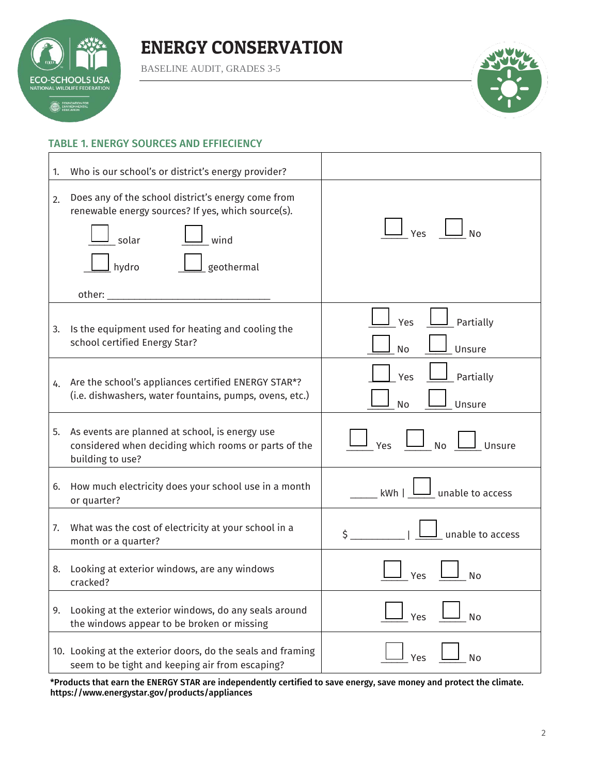

BASELINE AUDIT, GRADES 3-5



#### TABLE 1. ENERGY SOURCES AND EFFIECIENCY

| 1. | Who is our school's or district's energy provider?                                                                                               |                                  |
|----|--------------------------------------------------------------------------------------------------------------------------------------------------|----------------------------------|
| 2. | Does any of the school district's energy come from<br>renewable energy sources? If yes, which source(s).<br>wind<br>solar<br>geothermal<br>hydro | Yes<br><b>No</b>                 |
| 3. | Is the equipment used for heating and cooling the<br>school certified Energy Star?                                                               | Partially<br>Yes<br>Unsure<br>No |
| 4. | Are the school's appliances certified ENERGY STAR*?<br>(i.e. dishwashers, water fountains, pumps, ovens, etc.)                                   | Partially<br>Yes<br>No<br>Unsure |
|    | 5. As events are planned at school, is energy use<br>considered when deciding which rooms or parts of the<br>building to use?                    | No<br>Unsure<br><b>Yes</b>       |
| 6. | How much electricity does your school use in a month<br>or quarter?                                                                              | unable to access<br>kWh          |
| 7. | What was the cost of electricity at your school in a<br>month or a quarter?                                                                      | unable to access<br>\$           |
| 8. | Looking at exterior windows, are any windows<br>cracked?                                                                                         | N٥                               |
| 9. | Looking at the exterior windows, do any seals around<br>the windows appear to be broken or missing                                               | No<br>Yes                        |
|    | 10. Looking at the exterior doors, do the seals and framing<br>seem to be tight and keeping air from escaping?                                   | Yes<br>No                        |

\*Products that earn the ENERGY STAR are independently certified to save energy, save money and protect the climate. <https://www.energystar.gov/products/appliances>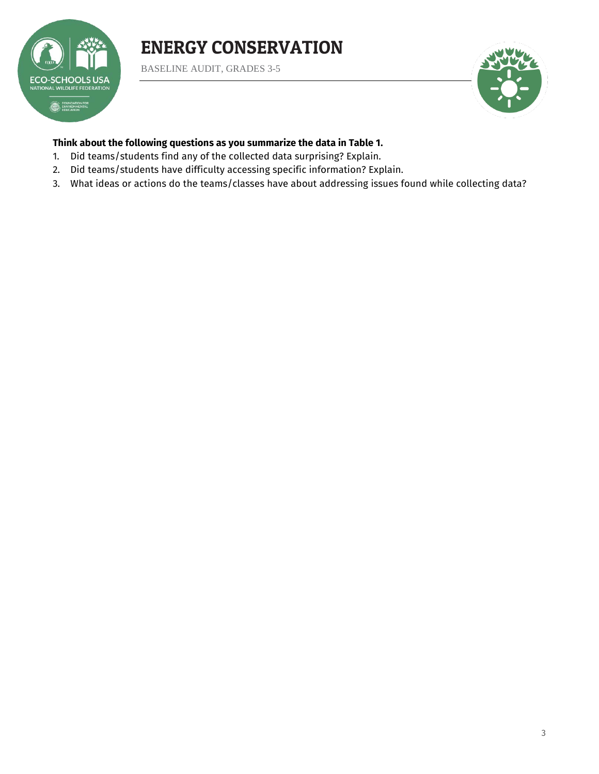

BASELINE AUDIT, GRADES 3-5



#### **Think about the following questions as you summarize the data in Table 1.**

- 1. Did teams/students find any of the collected data surprising? Explain.
- 2. Did teams/students have difficulty accessing specific information? Explain.
- 3. What ideas or actions do the teams/classes have about addressing issues found while collecting data?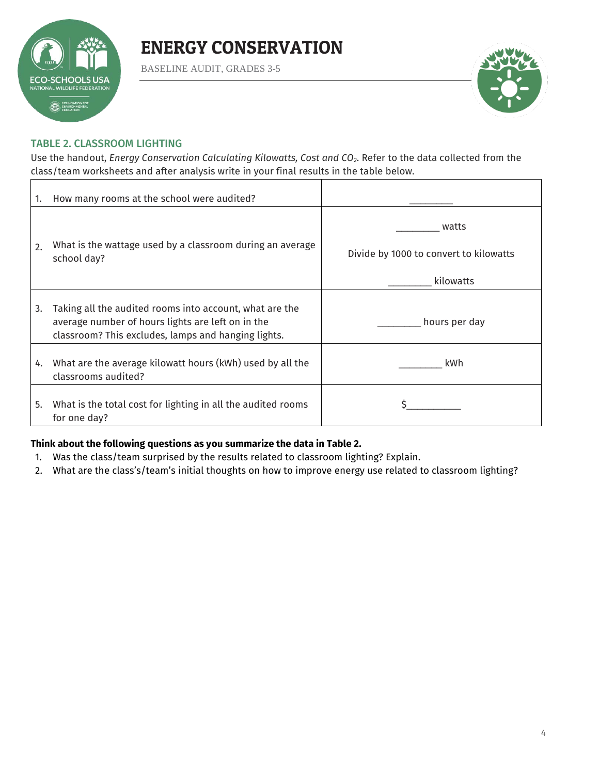

BASELINE AUDIT, GRADES 3-5



#### TABLE 2. CLASSROOM LIGHTING

Use the handout, *Energy Conservation Calculating Kilowatts, Cost and CO2*. Refer to the data collected from the class/team worksheets and after analysis write in your final results in the table below.

| 1. | How many rooms at the school were audited?                                                                   |                                                              |
|----|--------------------------------------------------------------------------------------------------------------|--------------------------------------------------------------|
| 2. | What is the wattage used by a classroom during an average<br>school day?                                     | watts<br>Divide by 1000 to convert to kilowatts<br>kilowatts |
| 3. | Taking all the audited rooms into account, what are the<br>average number of hours lights are left on in the | hours per day                                                |
|    | classroom? This excludes, lamps and hanging lights.                                                          |                                                              |
| 4. | What are the average kilowatt hours (kWh) used by all the<br>classrooms audited?                             | kWh                                                          |
| 5. | What is the total cost for lighting in all the audited rooms<br>for one day?                                 |                                                              |

#### **Think about the following questions as you summarize the data in Table 2.**

- 1. Was the class/team surprised by the results related to classroom lighting? Explain.
- 2. What are the class's/team's initial thoughts on how to improve energy use related to classroom lighting?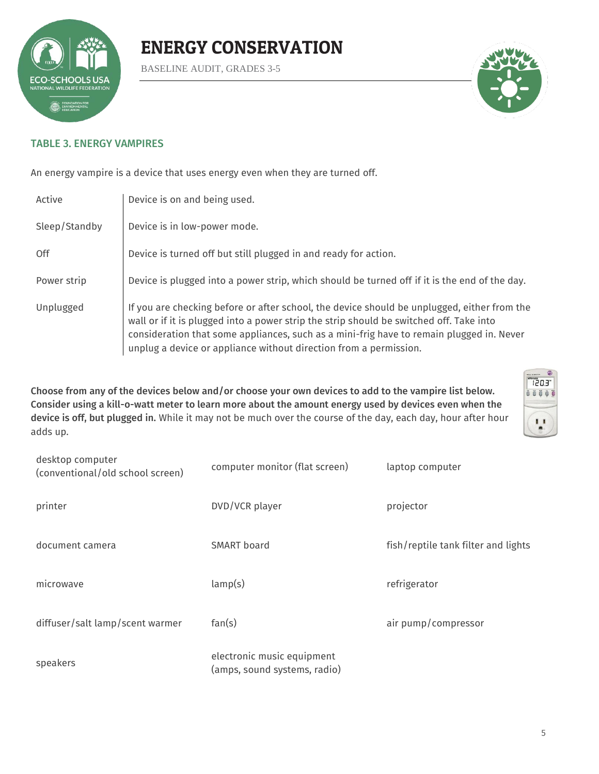

BASELINE AUDIT, GRADES 3-5



#### TABLE 3. ENERGY VAMPIRES

An energy vampire is a device that uses energy even when they are turned off.

| Active        | Device is on and being used.                                                                                                                                                                                                                                                                                                                            |
|---------------|---------------------------------------------------------------------------------------------------------------------------------------------------------------------------------------------------------------------------------------------------------------------------------------------------------------------------------------------------------|
| Sleep/Standby | Device is in low-power mode.                                                                                                                                                                                                                                                                                                                            |
| 0ff           | Device is turned off but still plugged in and ready for action.                                                                                                                                                                                                                                                                                         |
| Power strip   | Device is plugged into a power strip, which should be turned off if it is the end of the day.                                                                                                                                                                                                                                                           |
| Unplugged     | If you are checking before or after school, the device should be unplugged, either from the<br>wall or if it is plugged into a power strip the strip should be switched off. Take into<br>consideration that some appliances, such as a mini-frig have to remain plugged in. Never<br>unplug a device or appliance without direction from a permission. |

Choose from any of the devices below and/or choose your own devices to add to the vampire list below. Consider using a kill-o-watt meter to learn more about the amount energy used by devices even when the device is off, but plugged in. While it may not be much over the course of the day, each day, hour after hour adds up.



| desktop computer<br>(conventional/old school screen) | computer monitor (flat screen)                             | laptop computer                     |
|------------------------------------------------------|------------------------------------------------------------|-------------------------------------|
| printer                                              | DVD/VCR player                                             | projector                           |
| document camera                                      | <b>SMART</b> board                                         | fish/reptile tank filter and lights |
| microwave                                            | lamp(s)                                                    | refrigerator                        |
| diffuser/salt lamp/scent warmer                      | fan(s)                                                     | air pump/compressor                 |
| speakers                                             | electronic music equipment<br>(amps, sound systems, radio) |                                     |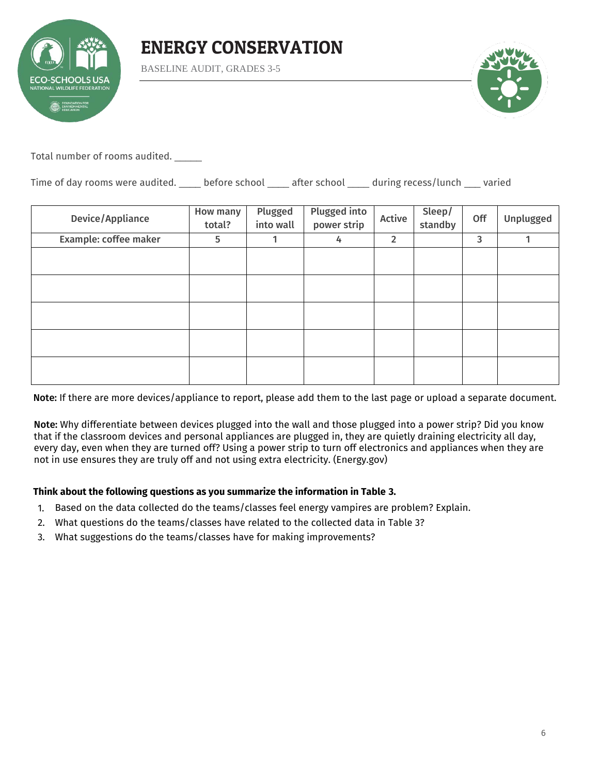

BASELINE AUDIT, GRADES 3-5



Total number of rooms audited. \_\_\_\_\_

Time of day rooms were audited. \_\_\_\_ before school \_\_\_\_ after school \_\_\_\_ during recess/lunch \_\_\_ varied

| <b>How many</b><br>total? | Plugged<br>into wall | Plugged into<br>power strip | Active         | Sleep/<br>standby | Off | Unplugged |
|---------------------------|----------------------|-----------------------------|----------------|-------------------|-----|-----------|
| 5                         | 1                    | 4                           | $\overline{2}$ |                   | 3   | 1         |
|                           |                      |                             |                |                   |     |           |
|                           |                      |                             |                |                   |     |           |
|                           |                      |                             |                |                   |     |           |
|                           |                      |                             |                |                   |     |           |
|                           |                      |                             |                |                   |     |           |
|                           |                      |                             |                |                   |     |           |
|                           |                      |                             |                |                   |     |           |
|                           |                      |                             |                |                   |     |           |
|                           |                      |                             |                |                   |     |           |

Note: If there are more devices/appliance to report, please add them to the last page or upload a separate document.

Note: Why differentiate between devices plugged into the wall and those plugged into a power strip? Did you know that if the classroom devices and personal appliances are plugged in, they are quietly draining electricity all day, every day, even when they are turned off? Using a power strip to turn off electronics and appliances when they are not in use ensures they are truly off and not using extra electricity. (Energy.gov)

#### **Think about the following questions as you summarize the information in Table 3.**

- 1. Based on the data collected do the teams/classes feel energy vampires are problem? Explain.
- 2. What questions do the teams/classes have related to the collected data in Table 3?
- 3. What suggestions do the teams/classes have for making improvements?